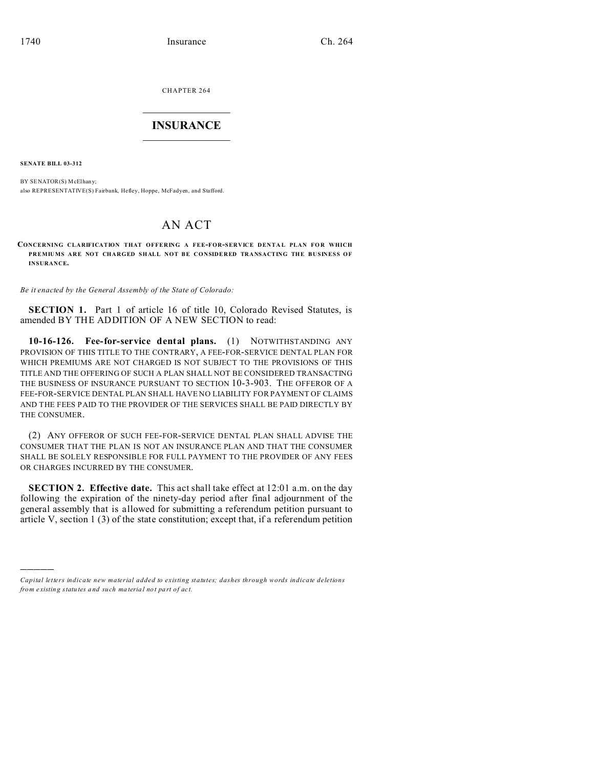CHAPTER 264  $\overline{\phantom{a}}$  , where  $\overline{\phantom{a}}$ 

## **INSURANCE**  $\_$   $\_$   $\_$   $\_$   $\_$   $\_$   $\_$   $\_$

**SENATE BILL 03-312**

)))))

BY SENATOR(S) McElhany; also REPRESENTATIVE(S) Fairbank, Hefley, Hoppe, McFadyen, and Stafford.

## AN ACT

**CONCERNING CLARIFICATION THAT OFFERING A FEE-FOR-SERVICE DENTA L PLAN FO R WHICH PREMIUMS ARE NOT CHARGED SHALL NOT BE CONSIDERED TRANSACTING THE BUSINESS OF INSURANCE.**

*Be it enacted by the General Assembly of the State of Colorado:*

**SECTION 1.** Part 1 of article 16 of title 10, Colorado Revised Statutes, is amended BY THE ADDITION OF A NEW SECTION to read:

**10-16-126. Fee-for-service dental plans.** (1) NOTWITHSTANDING ANY PROVISION OF THIS TITLE TO THE CONTRARY, A FEE-FOR-SERVICE DENTAL PLAN FOR WHICH PREMIUMS ARE NOT CHARGED IS NOT SUBJECT TO THE PROVISIONS OF THIS TITLE AND THE OFFERING OF SUCH A PLAN SHALL NOT BE CONSIDERED TRANSACTING THE BUSINESS OF INSURANCE PURSUANT TO SECTION 10-3-903. THE OFFEROR OF A FEE-FOR-SERVICE DENTAL PLAN SHALL HAVE NO LIABILITY FOR PAYMENT OF CLAIMS AND THE FEES PAID TO THE PROVIDER OF THE SERVICES SHALL BE PAID DIRECTLY BY THE CONSUMER.

(2) ANY OFFEROR OF SUCH FEE-FOR-SERVICE DENTAL PLAN SHALL ADVISE THE CONSUMER THAT THE PLAN IS NOT AN INSURANCE PLAN AND THAT THE CONSUMER SHALL BE SOLELY RESPONSIBLE FOR FULL PAYMENT TO THE PROVIDER OF ANY FEES OR CHARGES INCURRED BY THE CONSUMER.

**SECTION 2. Effective date.** This act shall take effect at 12:01 a.m. on the day following the expiration of the ninety-day period after final adjournment of the general assembly that is allowed for submitting a referendum petition pursuant to article V, section 1 (3) of the state constitution; except that, if a referendum petition

*Capital letters indicate new material added to existing statutes; dashes through words indicate deletions from e xistin g statu tes a nd such ma teria l no t pa rt of ac t.*